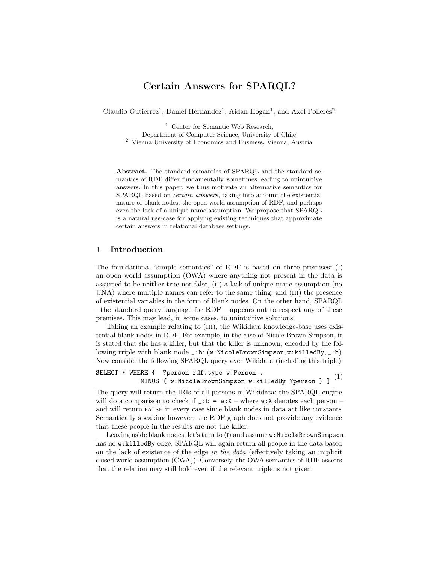# Certain Answers for SPARQL?

Claudio Gutierrez<sup>1</sup>, Daniel Hernández<sup>1</sup>, Aidan Hogan<sup>1</sup>, and Axel Polleres<sup>2</sup>

<sup>1</sup> Center for Semantic Web Research, Department of Computer Science, University of Chile <sup>2</sup> Vienna University of Economics and Business, Vienna, Austria

Abstract. The standard semantics of SPARQL and the standard semantics of RDF differ fundamentally, sometimes leading to unintuitive answers. In this paper, we thus motivate an alternative semantics for SPARQL based on *certain answers*, taking into account the existential nature of blank nodes, the open-world assumption of RDF, and perhaps even the lack of a unique name assumption. We propose that SPARQL is a natural use-case for applying existing techniques that approximate certain answers in relational database settings.

### 1 Introduction

The foundational "simple semantics" of RDF is based on three premises: (i) an open world assumption (OWA) where anything not present in the data is assumed to be neither true nor false, (ii) a lack of unique name assumption (no UNA) where multiple names can refer to the same thing, and (III) the presence of existential variables in the form of blank nodes. On the other hand, SPARQL – the standard query language for RDF – appears not to respect any of these premises. This may lead, in some cases, to unintuitive solutions.

Taking an example relating to (III), the Wikidata knowledge-base uses existential blank nodes in RDF. For example, in the case of Nicole Brown Simpson, it is stated that she has a killer, but that the killer is unknown, encoded by the following triple with blank node \_:b: (w:NicoleBrownSimpson, w:killedBy, \_:b). Now consider the following SPARQL query over Wikidata (including this triple):

```
SELECT * WHERE { ?person rdf:type w:Person .
MINUS { w:NicoleBrownSimpson w:killedBy ?person } } ^{(1)}
```
The query will return the IRIs of all persons in Wikidata: the SPARQL engine will do a comparison to check if  $\Box$ : b = w: X – where w: X denotes each person – and will return false in every case since blank nodes in data act like constants. Semantically speaking however, the RDF graph does not provide any evidence that these people in the results are not the killer.

Leaving aside blank nodes, let's turn to  $(I)$  and assume w:NicoleBrownSimpson has no w:killedBy edge. SPARQL will again return all people in the data based on the lack of existence of the edge in the data (effectively taking an implicit closed world assumption (CWA)). Conversely, the OWA semantics of RDF asserts that the relation may still hold even if the relevant triple is not given.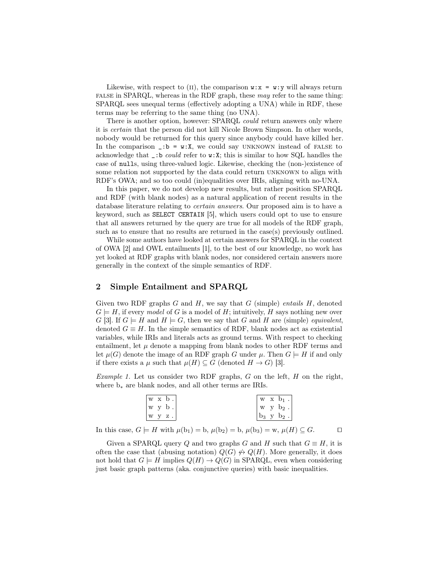Likewise, with respect to (II), the comparison  $\mathbf{w} \cdot \mathbf{x} = \mathbf{w} \cdot \mathbf{y}$  will always return false in SPARQL, whereas in the RDF graph, these may refer to the same thing: SPARQL sees unequal terms (effectively adopting a UNA) while in RDF, these terms may be referring to the same thing (no UNA).

There is another option, however: SPARQL could return answers only where it is certain that the person did not kill Nicole Brown Simpson. In other words, nobody would be returned for this query since anybody could have killed her. In the comparison  $\therefore$  b = w:X, we could say UNKNOWN instead of FALSE to acknowledge that  $\Box$ :b *could* refer to  $w: X$ ; this is similar to how SQL handles the case of nulls, using three-valued logic. Likewise, checking the (non-)existence of some relation not supported by the data could return unknown to align with RDF's OWA; and so too could (in)equalities over IRIs, aligning with no-UNA.

In this paper, we do not develop new results, but rather position SPARQL and RDF (with blank nodes) as a natural application of recent results in the database literature relating to certain answers. Our proposed aim is to have a keyword, such as SELECT CERTAIN [\[5\]](#page-3-0), which users could opt to use to ensure that all answers returned by the query are true for all models of the RDF graph, such as to ensure that no results are returned in the case(s) previously outlined.

While some authors have looked at certain answers for SPARQL in the context of OWA [\[2\]](#page-3-1) and OWL entailments [\[1\]](#page-3-2), to the best of our knowledge, no work has yet looked at RDF graphs with blank nodes, nor considered certain answers more generally in the context of the simple semantics of RDF.

### 2 Simple Entailment and SPARQL

Given two RDF graphs  $G$  and  $H$ , we say that  $G$  (simple) entails  $H$ , denoted  $G \models H$ , if every model of G is a model of H; intuitively, H says nothing new over G [\[3\]](#page-3-3). If  $G \models H$  and  $H \models G$ , then we say that G and H are (simple) equivalent. denoted  $G \equiv H$ . In the simple semantics of RDF, blank nodes act as existential variables, while IRIs and literals acts as ground terms. With respect to checking entailment, let  $\mu$  denote a mapping from blank nodes to other RDF terms and let  $\mu(G)$  denote the image of an RDF graph G under  $\mu$ . Then  $G \models H$  if and only if there exists a  $\mu$  such that  $\mu(H) \subseteq G$  (denoted  $H \to G$ ) [\[3\]](#page-3-3).

<span id="page-1-0"></span>*Example 1.* Let us consider two RDF graphs,  $G$  on the left,  $H$  on the right, where b<sup>∗</sup> are blank nodes, and all other terms are IRIs.

| w x b                              |  | $\mathbf{w} \times \mathbf{b}_1$ .                   |
|------------------------------------|--|------------------------------------------------------|
| w y<br>$\cdot$ p<br>$\blacksquare$ |  | $+$ w $\,$ y $\,$ b <sub>2</sub> $\,$ $\cdot$ $^{+}$ |
| W.<br>$\cdot$ z .                  |  | $b_3$ y $b_2$ .                                      |

In this case,  $G \models H$  with  $\mu(b_1) = b$ ,  $\mu(b_2) = b$ ,  $\mu(b_3) = w$ ,  $\mu(H) \subseteq G$ .

<span id="page-1-1"></span>Given a SPARQL query Q and two graphs G and H such that  $G \equiv H$ , it is often the case that (abusing notation)  $Q(G) \nleftrightarrow Q(H)$ . More generally, it does not hold that  $G \models H$  implies  $Q(H) \rightarrow Q(G)$  in SPARQL, even when considering just basic graph patterns (aka. conjunctive queries) with basic inequalities.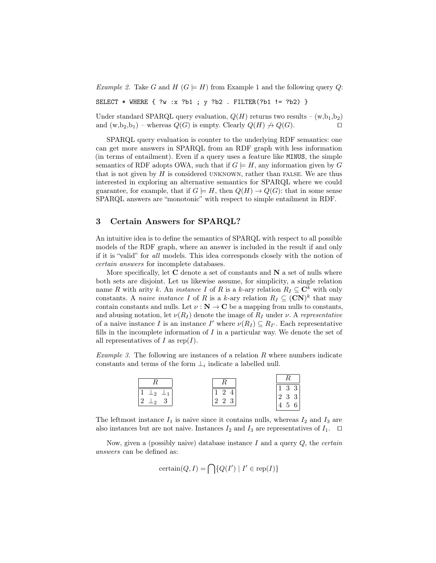Example 2. Take G and H  $(G \models H)$  from Example [1](#page-1-0) and the following query Q:

SELECT  $*$  WHERE  $\{ ?w : x ?b1 ; y ?b2$ . FILTER(?b1 != ?b2) }

Under standard SPARQL query evaluation,  $Q(H)$  returns two results –  $(w,b_1,b_2)$ and  $(w, b_2, b_1)$  – whereas  $Q(G)$  is empty. Clearly  $Q(H) \nrightarrow Q(G)$ .

SPARQL query evaluation is counter to the underlying RDF semantics: one can get more answers in SPARQL from an RDF graph with less information (in terms of entailment). Even if a query uses a feature like MINUS, the simple semantics of RDF adopts OWA, such that if  $G \models H$ , any information given by G that is not given by  $H$  is considered UNKNOWN, rather than FALSE. We are thus interested in exploring an alternative semantics for SPARQL where we could guarantee, for example, that if  $G \models H$ , then  $Q(H) \rightarrow Q(G)$ : that in some sense SPARQL answers are "monotonic" with respect to simple entailment in RDF.

#### 3 Certain Answers for SPARQL?

An intuitive idea is to define the semantics of SPARQL with respect to all possible models of the RDF graph, where an answer is included in the result if and only if it is "valid" for all models. This idea corresponds closely with the notion of certain answers for incomplete databases.

More specifically, let  $C$  denote a set of constants and  $N$  a set of nulls where both sets are disjoint. Let us likewise assume, for simplicity, a single relation name R with arity k. An *instance I* of R is a k-ary relation  $R_I \subseteq \mathbb{C}^k$  with only constants. A *naive instance* I of R is a k-ary relation  $R_I \subseteq (\mathbf{CN})^k$  that may contain constants and nulls. Let  $\nu : \mathbf{N} \to \mathbf{C}$  be a mapping from nulls to constants, and abusing notation, let  $\nu(R_I)$  denote the image of  $R_I$  under  $\nu$ . A representative of a naive instance I is an instance I' where  $\nu(R_I) \subseteq R_{I'}$ . Each representative fills in the incomplete information of  $I$  in a particular way. We denote the set of all representatives of I as  $\text{rep}(I)$ .

*Example 3.* The following are instances of a relation  $R$  where numbers indicate constants and terms of the form  $\perp_i$  indicate a labelled null.

| ×                      |           | $\begin{vmatrix} 1 & 3 & 3 \end{vmatrix}$ |
|------------------------|-----------|-------------------------------------------|
| l o<br>. വ<br>$\Omega$ | 22<br>- 3 | $\begin{vmatrix} 2 & 3 & 3 \end{vmatrix}$ |
|                        |           | $\overline{A}$<br>6<br>$\sigma$           |

The leftmost instance  $I_1$  is naive since it contains nulls, whereas  $I_2$  and  $I_3$  are also instances but are not naive. Instances  $I_2$  and  $I_3$  are representatives of  $I_1$ .  $\Box$ 

Now, given a (possibly naive) database instance I and a query  $Q$ , the *certain* answers can be defined as:

certain
$$
(Q, I)
$$
 =  $\bigcap$  { $Q(I') | I' \in \text{rep}(I)$ }